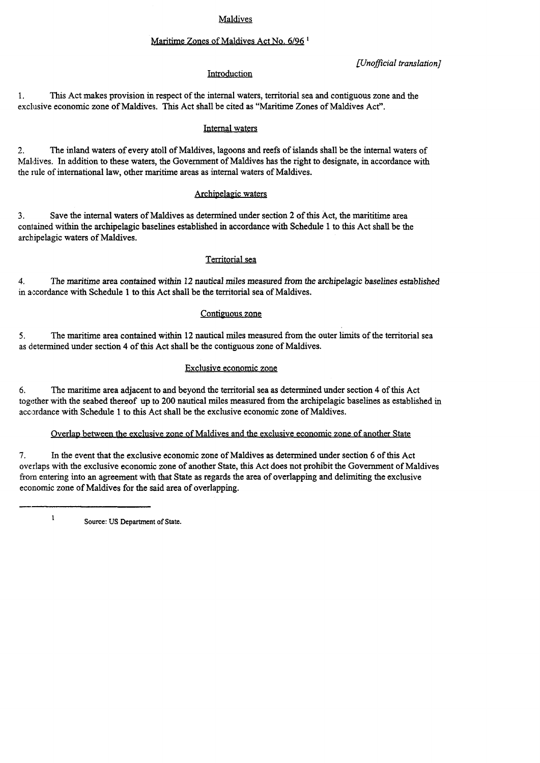#### Maldives

#### Maritime Zones of Maldives Act No. 6/96<sup>1</sup>

#### Introduction

*[Unofficial translation]*

1. This Act makes provision in respect of the internal waters, territorial sea and contiguous zone and the exclusive economic zone of Maldives. This Act shall be cited as "Maritime Zones of Maldives Act".

#### Intemal waters

2. The inland waters of every atoll of Maldives, lagoons and reefs of islands shall be the internal waters of Maldives. In addition to these waters, the Government of Maldives has the right to designate, in accordance with the rule of international law, other maritime areas as internal waters of Maldives.

#### Archipelagic waters

3. Save the internal waters ofMaldives as determined under section 2 ofthis Act, the marititime area contained within the archipelagic baselines established in accordance with Schedule 1 to this Act shall be the archipelagic waters of Maldives.

#### Territorial sea

4. The maritime area contained within 12 nautical miles measured from the archipelagic baselines established in accordance with Schedule 1 to this Act shall be the territorial sea of Maldives.

#### Contiguous zone

5. The maritime area contained within 12 nautical miles measured from the outer limits ofthe territorial sea as determined under section 4 of this Act shall be the contiguous zone of Maldives.

#### Exclusive economic zone

6. The maritime area adjacent to and beyond the territorial sea as determined under section 4 ofthis Act together with the seabed thereof up to 200 nautical miles measured from the archipelagic baselines as established in accordance with Schedule 1 to this Act shall be the exclusive economic zone of Maldives.

## Overlap between the exclusive zone of Maldives and the exclusive economic zone of another State

7. In the event that the exclusive economic zone of Maldives as determined under section 6 of this Act overlaps with the exclusive economic zone of another State, this Act does not prohibit the Government of Maldives from entering into an agreement with that State as regards the area of overlapping and delimiting the exclusive economic zone of Maldives for the said area of overlapping.

 $\mathbf{1}$ Source: US Department of State.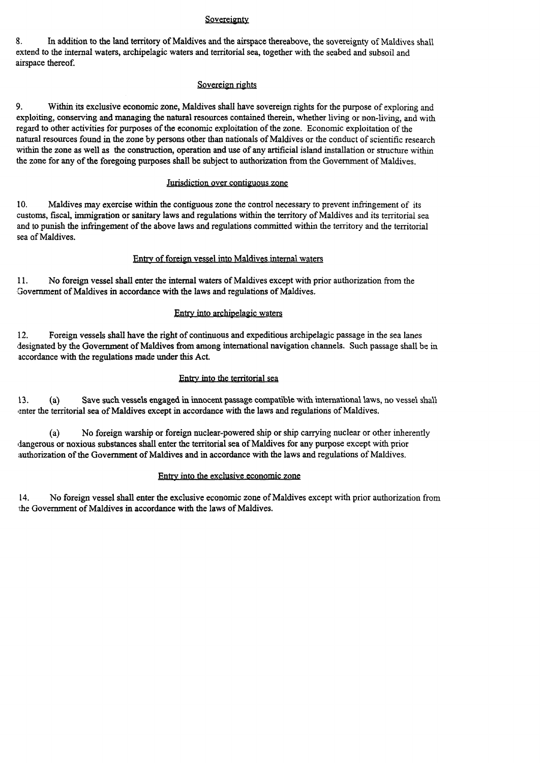#### **Sovereignty**

8. In addition to the land territory of Maldives and the airspace thereabove, the sovereignty of Maldives shall extend to the internal waters, archipelagic waters and territorial sea, together with the seabed and subsoil and airspace thereof.

## Sovereign rights

9. Within its exclusive economic zone, Maldives shall have sovereign rights for the purpose of exploring and exploiting, conserving and managing the natural resources contained therein, whether living or non-living, and with regard to other activities for purposes of the economic exploitation of the zone. Economic exploitation of the natural resources found in the zone by persons other than nationals of Maldives or the conduct of scientific research within the zone as well as the construction, operation and use of any artificial island installation or structure within the zone for any of the foregoing purposes shall be subject to authorization from the Government of Maldives.

#### Jurisdiction over contiguous zone

10. Maldives may exercise within the contiguous zone the control necessary to prevent infringement of its customs, fiscal, immigration or sanitary laws and regulations within the territory of Maldives and its territorial sea and to punish the infringement of the above laws and regulations committed within the territory and the territorial sea of Maldives.

## Entry of foreign vessel into Maldives internal waters

11. No foreign vessel shall enter the internal waters of Maldives except with prior authorization from the Government of Maldives in accordance with the laws and regulations of Maldives.

## Entry into archipelagic waters

12. Foreign vessels shall have the right of continuous and expeditious archipelagic passage in the sea lanes designated by the Government of Maldives from among international navigation channels. Such passage shall be in accordance with the regulations made under this Act.

#### Entry into the territorial sea

13. (a) Save such vessels engaged in innocent passage compatible with internationallaws, no vessel shall enter the territorial sea of Maldives except in accordance with the laws and regulations of Maldives.

(a) No foreign warship or foreign nuclear-powered ship or ship carrying nuclear or other inherently dangerous or noxious substances shall enter the territorial sea of Maldives for any purpose except with prior authorization of the Government of Maldives and in accordance with the laws and regulations of Maldives.

## Entry into the exclusive economic zone

14. No foreign vessel shall enter the exclusive economic zone of Maldives except with prior authorization from the Government of Maldives in accordance with the laws of Maldives.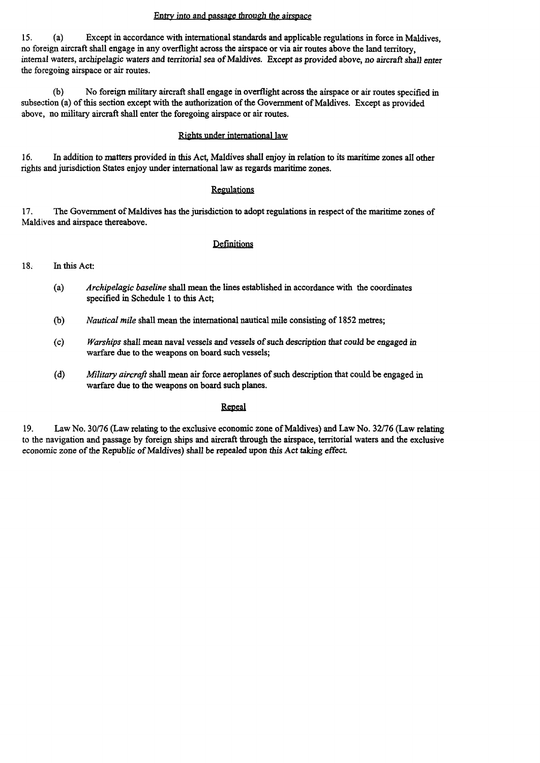## Entry into and passage through the airspace

15. (a) Except in accordance with international standards and applicable regulations in force in Maldives, no foreign aircraft shall engage in any overflight across the airspace or via air routes above the land territory, internal waters, archipelagic waters and territorial sea of Maldives. Except as provided above, no aircraft shall enter the foregoing airspace or air routes.

(b) No foreign military aircraft shall engage in overflight across the airspace or air routes specified in subsection (a) of this section except with the authorization of the Government of Maldives. Except as provided above, no military aircraft shall enter the foregoing airspace or air routes.

## Rights under international law

16. In addition to matters provided in thisAct, Maldives shall enjoy in relation to its maritime zones all other rights and jurisdiction States enjoy under international law as regards maritime zones.

## **Regulations**

17. The Government of Maldives has the jurisdiction to adopt regulations in respect of the maritime zones of Maldives and airspace thereabove.

#### **Definitions**

18. In this Act:

- (a) *Archipelagicbaseline*shall mean the lines established in accordance with the coordinates specified in Schedule 1 to this Act;
- (b) *Nauticalmile* shall mean the international nautical mile consisting of 1852 metres;
- (c) *Warships* shall mean naval vessels and *vessels*ofsuch description that could be engaged in warfare due to the weapons on board such vessels;
- (d) *Militaryaircraft*shall mean air force aeroplanes ofsuch description that could be engaged in warfare due to the weapons on board such planes.

#### Repeal

19. Law No. 30/76 (Law relating to the exclusive economic zone of Maldives) and Law No. 32/76 (Law relating to the navigation and passage by foreign ships and aircraft through the airspace, territorial waters and the exclusive economic zone of the Republic of Maldives) shall be repealed upon this Act taking effect.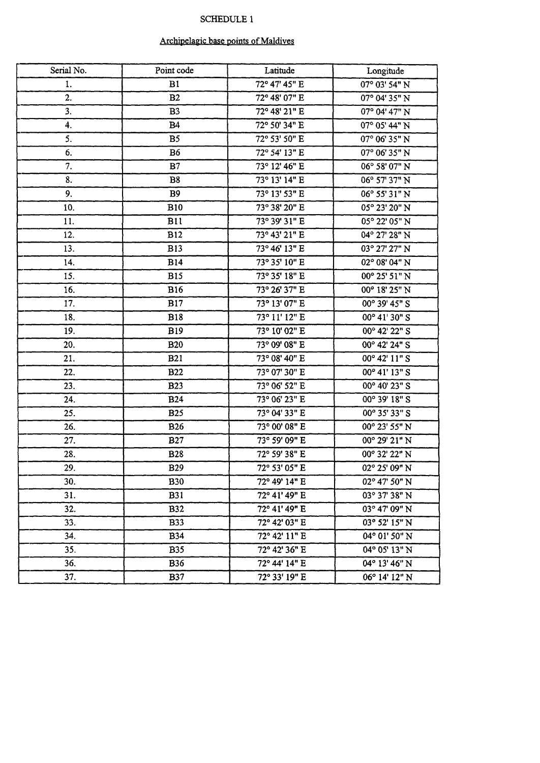## SCHEDULE 1

# Archipelagic base points of Maldives

| Serial No. | Point code     | Latitude      | Longitude              |
|------------|----------------|---------------|------------------------|
| 1.         | B1             | 72° 47' 45" E | 07° 03' 54" N          |
| 2.         | B2             | 72° 48' 07" E | 07° 04' 35" N          |
| 3.         | B <sub>3</sub> | 72° 48' 21" E | 07° 04' 47" N          |
| 4.         | B <sub>4</sub> | 72° 50' 34" E | 07° 05' 44" N          |
| 5.         | B <sub>5</sub> | 72° 53' 50" E | 07° 06' 35" N          |
| 6.         | B6             | 72° 54' 13" E | 07° 06' 35" N          |
| 7.         | B7             | 73° 12' 46" E | 06° 58' 07" N          |
| 8.         | B <sub>8</sub> | 73° 13' 14" E | 06° 57' 37" N          |
| 9.         | <b>B9</b>      | 73° 13' 53" E | 06° 55' 31" N          |
| 10.        | <b>B10</b>     | 73° 38' 20" E | 05° 23' 20" N          |
| 11.        | <b>B11</b>     | 73° 39' 31" E | 05° 22' 05" N          |
| 12.        | <b>B12</b>     | 73° 43' 21" E | 04° 27' 28" N          |
| 13.        | <b>B13</b>     | 73° 46' 13" E | 03° 27' 27" N          |
| 14.        | <b>B14</b>     | 73° 35' 10" E | 02° 08' 04" N          |
| 15.        | <b>B15</b>     | 73° 35' 18" E | 00° 25' 51" N          |
| 16.        | <b>B16</b>     | 73° 26' 37" E | 00° 18' 25" N          |
| 17.        | <b>B17</b>     | 73° 13' 07" E | 00° 39' 45" S          |
| 18.        | <b>B18</b>     | 73° 11' 12" E | 00° 41' 30" S          |
| 19.        | <b>B19</b>     | 73° 10' 02" E | 00° 42' 22" S          |
| 20.        | <b>B20</b>     | 73° 09' 08" E | 00° 42' 24" S          |
| 21.        | <b>B21</b>     | 73° 08' 40" E | 00° 42' 11" S          |
| 22.        | <b>B22</b>     | 73° 07' 30" E | 00° 41' 13" S          |
| 23.        | <b>B23</b>     | 73° 06' 52" E | 00° 40' 23" S          |
| 24.        | <b>B24</b>     | 73° 06' 23" E | 00° 39' 18" S          |
| 25.        | <b>B25</b>     | 73° 04' 33" E | 00° 35' 33" S          |
| 26.        | <b>B26</b>     | 73° 00' 08" E | 00° 23' 55" N          |
| 27.        | <b>B27</b>     | 73° 59' 09" E | 00° 29' 21" N          |
| 28.        | <b>B28</b>     | 72° 59' 38" E | 00° 32' 22" N          |
| 29.        | <b>B29</b>     | 72° 53' 05" E | 02° 25' 09" N          |
| 30.        | <b>B30</b>     | 72° 49' 14" E | $02^{\circ}$ 47' 50" N |
| 31.        | <b>B31</b>     | 72° 41' 49" E | 03° 37' 38" N          |
| 32.        | <b>B32</b>     | 72° 41' 49" E | 03° 47' 09" N          |
| 33.        | <b>B33</b>     | 72° 42' 03" E | 03° 52' 15" N          |
| 34.        | <b>B34</b>     | 72° 42' 11" E | 04° 01' 50" N          |
| 35.        | <b>B35</b>     | 72° 42' 36" E | 04° 05' 13" N          |
| 36.        | <b>B36</b>     | 72° 44' 14" E | 04° 13' 46" N          |
| 37.        | <b>B37</b>     | 72° 33' 19" E | 06° 14' 12" N          |